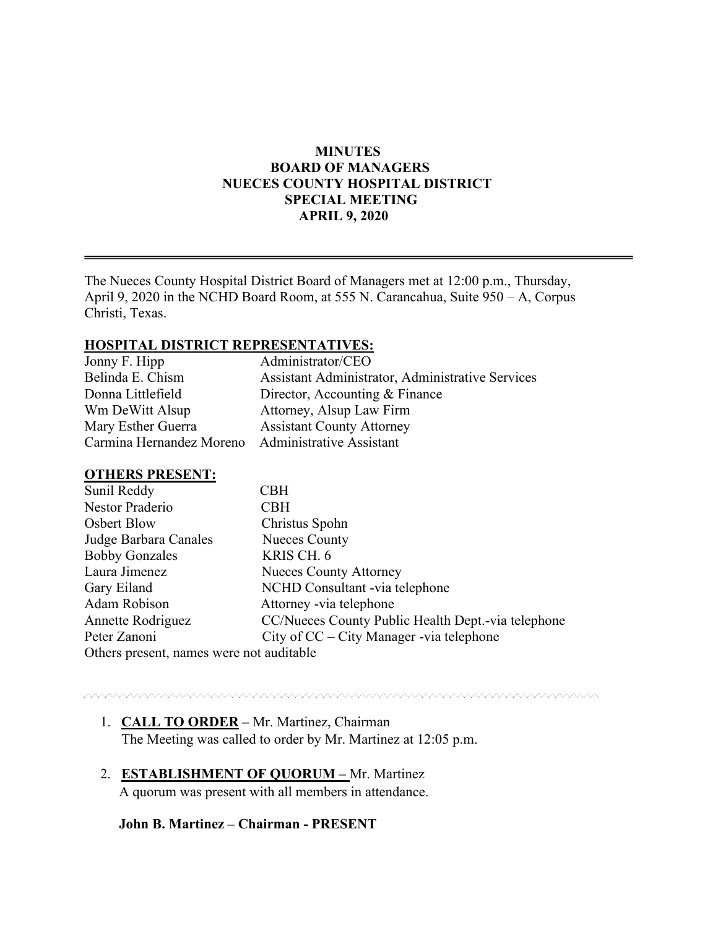## **MINUTES BOARD OF MANAGERS NUECES COUNTY HOSPITAL DISTRICT SPECIAL MEETING APRIL 9, 2020**

The Nueces County Hospital District Board of Managers met at 12:00 p.m., Thursday, April 9, 2020 in the NCHD Board Room, at 555 N. Carancahua, Suite 950 – A, Corpus Christi, Texas.

### **HOSPITAL DISTRICT REPRESENTATIVES:**

| Jonny F. Hipp            | Administrator/CEO                                |
|--------------------------|--------------------------------------------------|
| Belinda E. Chism         | Assistant Administrator, Administrative Services |
| Donna Littlefield        | Director, Accounting & Finance                   |
| Wm DeWitt Alsup          | Attorney, Alsup Law Firm                         |
| Mary Esther Guerra       | <b>Assistant County Attorney</b>                 |
| Carmina Hernandez Moreno | <b>Administrative Assistant</b>                  |

#### **OTHERS PRESENT:**

| Sunil Reddy                              | CBH                                                |
|------------------------------------------|----------------------------------------------------|
| Nestor Praderio                          | <b>CBH</b>                                         |
| Osbert Blow                              | Christus Spohn                                     |
| Judge Barbara Canales                    | <b>Nueces County</b>                               |
| <b>Bobby Gonzales</b>                    | KRIS CH. 6                                         |
| Laura Jimenez                            | <b>Nueces County Attorney</b>                      |
| Gary Eiland                              | NCHD Consultant -via telephone                     |
| Adam Robison                             | Attorney -via telephone                            |
| Annette Rodriguez                        | CC/Nueces County Public Health Dept.-via telephone |
| Peter Zanoni                             | City of CC – City Manager -via telephone           |
| Others present, names were not auditable |                                                    |

# 1. **CALL TO ORDER –** Mr. Martinez, Chairman

- The Meeting was called to order by Mr. Martinez at 12:05 p.m.
- 2. **ESTABLISHMENT OF QUORUM –** Mr. Martinez A quorum was present with all members in attendance.

## **John B. Martinez – Chairman - PRESENT**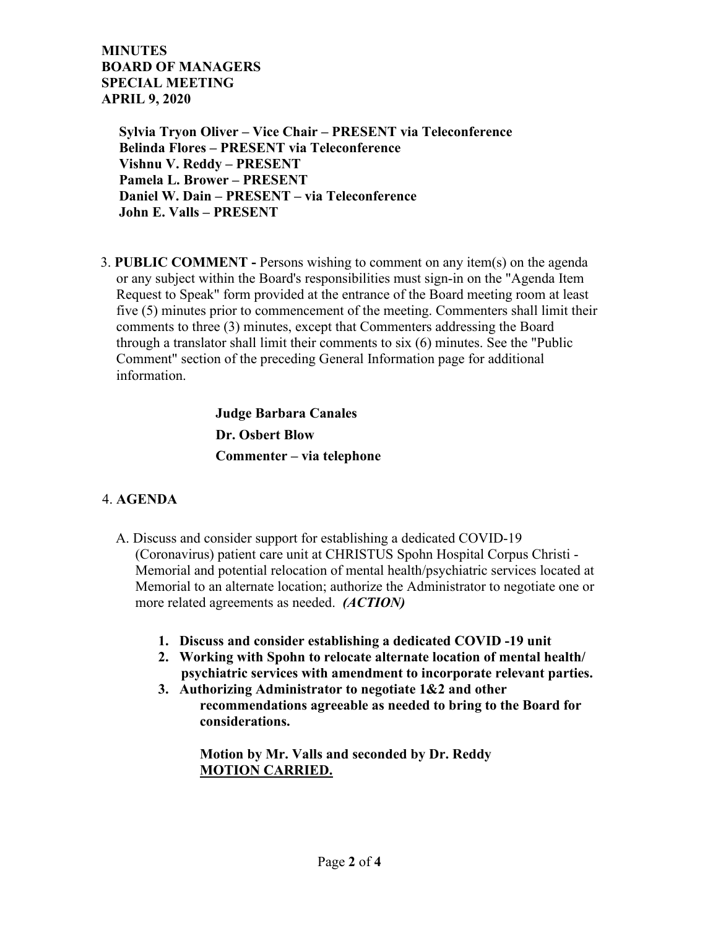**MINUTES BOARD OF MANAGERS SPECIAL MEETING APRIL 9, 2020**

> **Sylvia Tryon Oliver – Vice Chair – PRESENT via Teleconference Belinda Flores – PRESENT via Teleconference Vishnu V. Reddy – PRESENT Pamela L. Brower – PRESENT Daniel W. Dain – PRESENT – via Teleconference John E. Valls – PRESENT**

3. **PUBLIC COMMENT -** Persons wishing to comment on any item(s) on the agenda or any subject within the Board's responsibilities must sign-in on the "Agenda Item Request to Speak" form provided at the entrance of the Board meeting room at least five (5) minutes prior to commencement of the meeting. Commenters shall limit their comments to three (3) minutes, except that Commenters addressing the Board through a translator shall limit their comments to six (6) minutes. See the "Public Comment" section of the preceding General Information page for additional information.

> **Judge Barbara Canales Dr. Osbert Blow Commenter – via telephone**

# 4. **AGENDA**

- A. Discuss and consider support for establishing a dedicated COVID-19 (Coronavirus) patient care unit at CHRISTUS Spohn Hospital Corpus Christi - Memorial and potential relocation of mental health/psychiatric services located at Memorial to an alternate location; authorize the Administrator to negotiate one or more related agreements as needed. *(ACTION)* 
	- **1. Discuss and consider establishing a dedicated COVID -19 unit**
	- **2. Working with Spohn to relocate alternate location of mental health/ psychiatric services with amendment to incorporate relevant parties.**
	- **3. Authorizing Administrator to negotiate 1&2 and other recommendations agreeable as needed to bring to the Board for considerations.**

 **Motion by Mr. Valls and seconded by Dr. Reddy MOTION CARRIED.**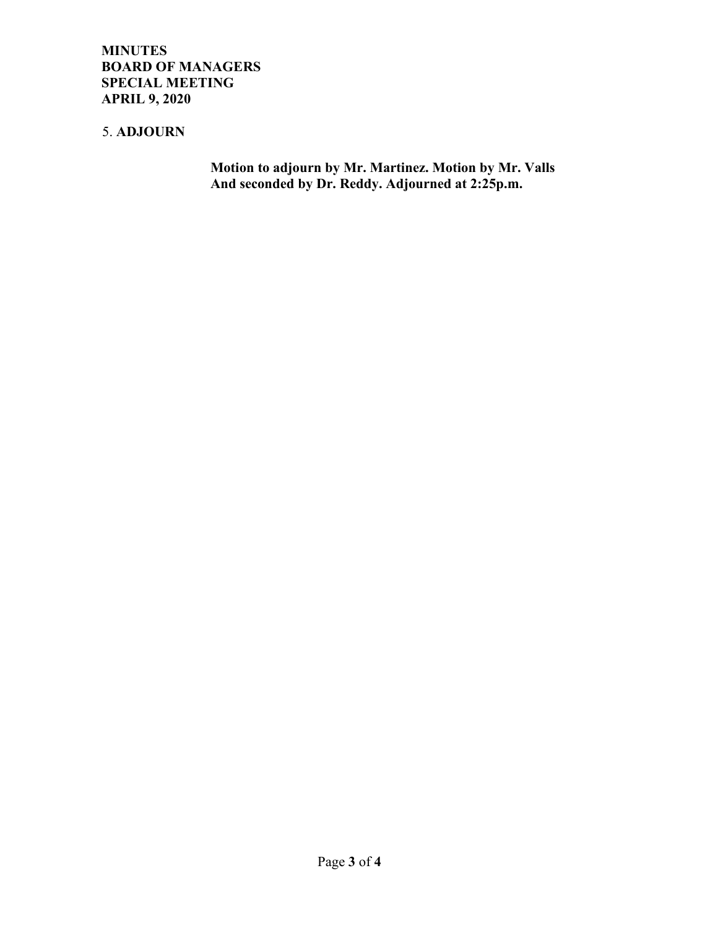**MINUTES BOARD OF MANAGERS SPECIAL MEETING APRIL 9, 2020**

## 5. **ADJOURN**

 **Motion to adjourn by Mr. Martinez. Motion by Mr. Valls And seconded by Dr. Reddy. Adjourned at 2:25p.m.**